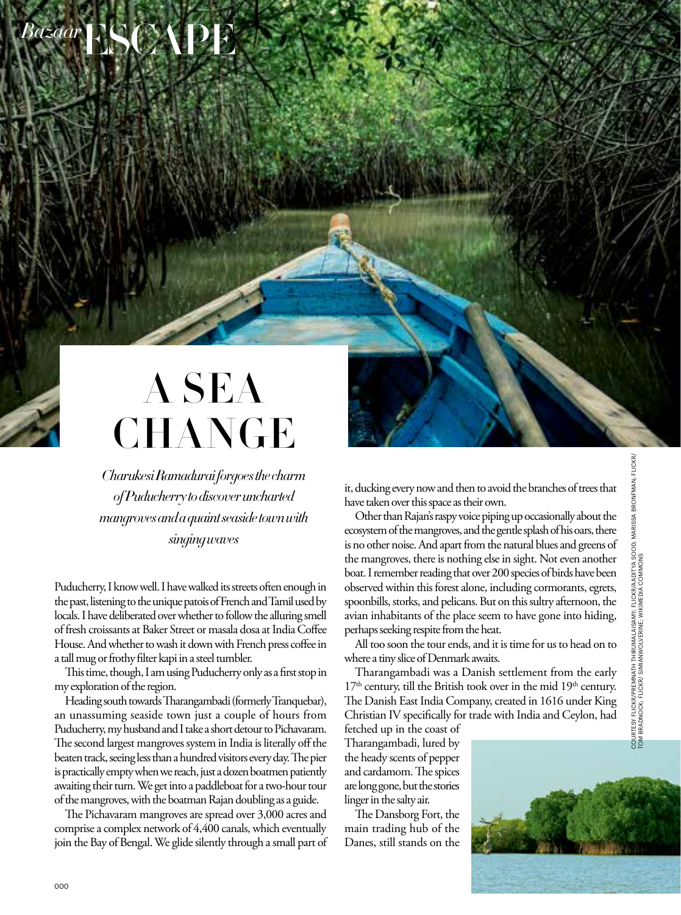## ESCAPE *Bazaar*

## A SEA **CHANGE**

*Charukesi Ramadurai forgoes the charm of Puducherry to discover uncharted mangroves and a quaint seaside town with singing waves*

Puducherry, I know well. I have walked its streets often enough in the past, listening to the unique patois of French and Tamil used by locals. I have deliberated over whether to follow the alluring smell of fresh croissants at Baker Street or masala dosa at India Coffee House. And whether to wash it down with French press coffee in a tall mug or frothy filter kapi in a steel tumbler.

This time, though, I am using Puducherry only as a first stop in my exploration of the region.

Heading south towards Tharangambadi (formerly Tranquebar), an unassuming seaside town just a couple of hours from Puducherry, my husband and I take a short detour to Pichavaram. The second largest mangroves system in India is literally off the beaten track, seeing less than a hundred visitors every day. The pier is practically empty when we reach, just a dozen boatmen patiently awaiting their turn. We get into a paddleboat for a two-hour tour of the mangroves, with the boatman Rajan doubling as a guide.

The Pichavaram mangroves are spread over 3,000 acres and comprise a complex network of 4,400 canals, which eventually join the Bay of Bengal. We glide silently through a small part of it, ducking every now and then to avoid the branches of trees that have taken over this space as their own.

Other than Rajan's raspy voice piping up occasionally about the ecosystem of the mangroves, and the gentle splash of his oars, there is no other noise. And apart from the natural blues and greens of the mangroves, there is nothing else in sight. Not even another boat. I remember reading that over 200 species of birds have been observed within this forest alone, including cormorants, egrets, spoonbills, storks, and pelicans. But on this sultry afternoon, the avian inhabitants of the place seem to have gone into hiding, perhaps seeking respite from the heat.

All too soon the tour ends, and it is time for us to head on to where a tiny slice of Denmark awaits.

Tharangambadi was a Danish settlement from the early  $17<sup>th</sup>$  century, till the British took over in the mid  $19<sup>th</sup>$  century. The Danish East India Company, created in 1616 under King Christian IV specifically for trade with India and Ceylon, had

fetched up in the coast of Tharangambadi, lured by the heady scents of pepper and cardamom. The spices are long gone, but the stories linger in the salty air.

The Dansborg Fort, the main trading hub of the Danes, still stands on the